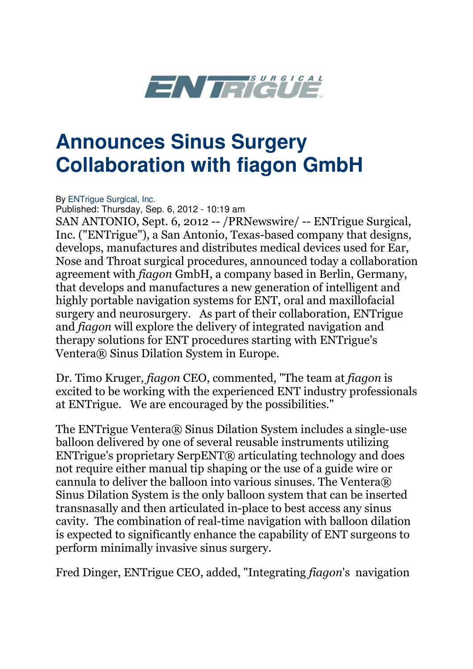

## **Announces Sinus Surgery Collaboration with fiagon GmbH**

By ENTrique Surgical, Inc.

Published: Thursday, Sep. 6, 2012 - 10:19 am

SAN ANTONIO, Sept. 6, 2012 -- /PRNewswire/ -- ENTrigue Surgical, Inc. ("ENTrigue"), a San Antonio, Texas-based company that designs, develops, manufactures and distributes medical devices used for Ear, Nose and Throat surgical procedures, announced today a collaboration agreement with fiagon GmbH, a company based in Berlin, Germany, that develops and manufactures a new generation of intelligent and highly portable navigation systems for ENT, oral and maxillofacial surgery and neurosurgery. As part of their collaboration, ENTrigue and fiagon will explore the delivery of integrated navigation and therapy solutions for ENT procedures starting with ENTrigue's Ventera® Sinus Dilation System in Europe.

Dr. Timo Kruger, fiagon CEO, commented, "The team at fiagon is excited to be working with the experienced ENT industry professionals at ENTrigue. We are encouraged by the possibilities."

The ENTrigue Ventera® Sinus Dilation System includes a single-use balloon delivered by one of several reusable instruments utilizing ENTrigue's proprietary SerpENT® articulating technology and does not require either manual tip shaping or the use of a guide wire or cannula to deliver the balloon into various sinuses. The Ventera® Sinus Dilation System is the only balloon system that can be inserted transnasally and then articulated in-place to best access any sinus cavity. The combination of real-time navigation with balloon dilation is expected to significantly enhance the capability of ENT surgeons to perform minimally invasive sinus surgery.

Fred Dinger, ENTrigue CEO, added, "Integrating fiagon's navigation